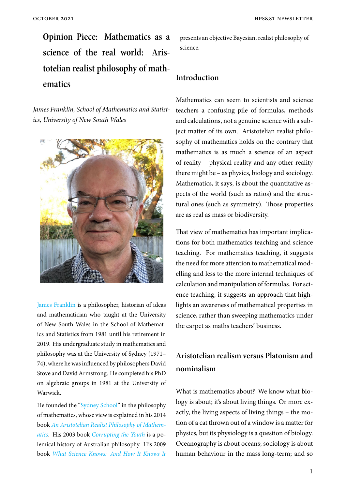**Opinion Piece: Mathematics as a science of the real world: Aristotelian realist philosophy of mathematics**

*James Franklin, School of Mathematics and Statistics, University of New South Wales*



James Franklin is a philosopher, historian of ideas and mathematician who taught at the University of New South Wales in the School of Mathemat[ics and Statistic](https://web.maths.unsw.edu.au/~jim/structmath.html)s from 1981 until his retirement in 2019. His undergraduate study in mathematics and philosophy was at the University of Sydney (1971– 74), where he was influenced by philosophers David Stove and David Armstrong. He completed his PhD on algebraic groups in 1981 at the University of Warwick.

He founded the "Sydney School" in the philosophy of mathematics, whose view is explained in his 2014 book *An Aristotelian Realist Philosophy of Mathematics*. His 2003 book *[Corrupting](https://web.maths.unsw.edu.au/~jim/structmath.html) the Youth* is a polemical history of Australian philosophy. His 2009 book *[What Science Knows: And How It Knows It](https://www.google.com.au/books/edition/An_Aristotelian_Realist_Philosophy_of_Ma/0YKEAwAAQBAJ)*

presents an objective Bayesian, realist philosophy of science.

#### **Introduction**

Mathematics can seem to scientists and science teachers a confusing pile of formulas, methods and calculations, not a genuine science with a subject matter of its own. Aristotelian realist philosophy of mathematics holds on the contrary that mathematics is as much a science of an aspect of reality – physical reality and any other reality there might be – as physics, biology and sociology. Mathematics, it says, is about the quantitative aspects of the world (such as ratios) and the structural ones (such as symmetry). Those properties are as real as mass or biodiversity.

That view of mathematics has important implications for both mathematics teaching and science teaching. For mathematics teaching, it suggests the need for more attention to mathematical modelling and less to the more internal techniques of calculation and manipulation of formulas. For science teaching, it suggests an approach that highlights an awareness of mathematical properties in science, rather than sweeping mathematics under the carpet as maths teachers' business.

## **Aristotelian realism versus Platonism and nominalism**

What is mathematics about? We know what biology is about; it's about living things. Or more exactly, the living aspects of living things – the motion of a cat thrown out of a window is a matter for physics, but its physiology is a question of biology. Oceanography is about oceans; sociology is about human behaviour in the mass long-term; and so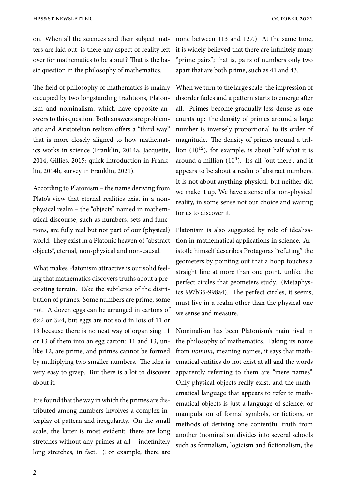on. When all the sciences and their subject matters are laid out, is there any aspect of reality left over for mathematics to be about? That is the basic question in the philosophy of mathematics.

The field of philosophy of mathematics is mainly occupied by two longstanding traditions, Platonism and nominalism, which have opposite answers to this question. Both answers are problematic and Aristotelian realism offers a "third way" that is more closely aligned to how mathematics works in science (Franklin, 2014a, Jacquette, 2014, Gillies, 2015; quick introduction in Franklin, 2014b, survey in Franklin, 2021).

According to Platonism – the name deriving from Plato's view that eternal realities exist in a nonphysical realm – the "objects" named in mathematical discourse, such as numbers, sets and functions, are fully real but not part of our (physical) world. They exist in a Platonic heaven of "abstract objects", eternal, non-physical and non-causal.

What makes Platonism attractive is our solid feeling that mathematics discovers truths about a preexisting terrain. Take the subtleties of the distribution of primes. Some numbers are prime, some not. A dozen eggs can be arranged in cartons of 6×2 or 3×4, but eggs are not sold in lots of 11 or 13 because there is no neat way of organising 11 or 13 of them into an egg carton: 11 and 13, unlike 12, are prime, and primes cannot be formed by multiplying two smaller numbers. The idea is very easy to grasp. But there is a lot to discover about it.

It is found that the way in which the primes are distributed among numbers involves a complex interplay of pattern and irregularity. On the small scale, the latter is most evident: there are long stretches without any primes at all – indefinitely long stretches, in fact. (For example, there are

none between 113 and 127.) At the same time, it is widely believed that there are infinitely many "prime pairs"; that is, pairs of numbers only two apart that are both prime, such as 41 and 43.

When we turn to the large scale, the impression of disorder fades and a pattern starts to emerge after all. Primes become gradually less dense as one counts up: the density of primes around a large number is inversely proportional to its order of magnitude. The density of primes around a trillion  $(10^{12})$ , for example, is about half what it is around a million  $(10^6)$ . It's all "out there", and it appears to be about a realm of abstract numbers. It is not about anything physical, but neither did we make it up. We have a sense of a non-physical reality, in some sense not our choice and waiting for us to discover it.

Platonism is also suggested by role of idealisation in mathematical applications in science. Aristotle himself describes Protagoras "refuting" the geometers by pointing out that a hoop touches a straight line at more than one point, unlike the perfect circles that geometers study. (Metaphysics 997b35-998a4). The perfect circles, it seems, must live in a realm other than the physical one we sense and measure.

Nominalism has been Platonism's main rival in the philosophy of mathematics. Taking its name from *nomina*, meaning names, it says that mathematical entities do not exist at all and the words apparently referring to them are "mere names". Only physical objects really exist, and the mathematical language that appears to refer to mathematical objects is just a language of science, or manipulation of formal symbols, or fictions, or methods of deriving one contentful truth from another (nominalism divides into several schools such as formalism, logicism and fictionalism, the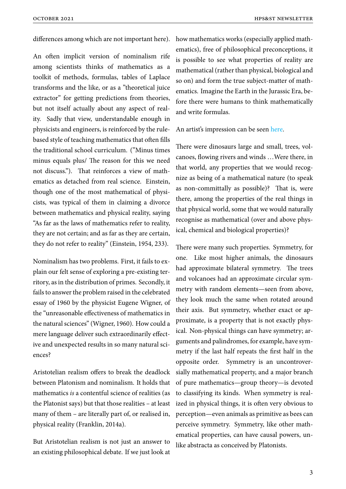differences among which are not important here).

An often implicit version of nominalism rife among scientists thinks of mathematics as a toolkit of methods, formulas, tables of Laplace transforms and the like, or as a "theoretical juice extractor" for getting predictions from theories, but not itself actually about any aspect of reality. Sadly that view, understandable enough in physicists and engineers, is reinforced by the rulebased style of teaching mathematics that often fills the traditional school curriculum. ("Minus times minus equals plus/ The reason for this we need not discuss."). That reinforces a view of mathematics as detached from real science. Einstein, though one of the most mathematical of physicists, was typical of them in claiming a divorce between mathematics and physical reality, saying "As far as the laws of mathematics refer to reality, they are not certain; and as far as they are certain, they do not refer to reality" (Einstein, 1954, 233).

Nominalism has two problems. First, it fails to explain our felt sense of exploring a pre-existing territory, as in the distribution of primes. Secondly, it fails to answer the problem raised in the celebrated essay of 1960 by the physicist Eugene Wigner, of the "unreasonable effectiveness of mathematics in the natural sciences" (Wigner, 1960). How could a mere language deliver such extraordinarily effective and unexpected results in so many natural sciences?

Aristotelian realism offers to break the deadlock between Platonism and nominalism. It holds that mathematics *is* a contentful science of realities (as the Platonist says) but that those realities – at least many of them – are literally part of, or realised in, physical reality (Franklin, 2014a).

But Aristotelian realism is not just an answer to an existing philosophical debate. If we just look at

how mathematics works (especially applied mathematics), free of philosophical preconceptions, it is possible to see what properties of reality are mathematical (rather than physical, biological and so on) and form the true subject-matter of mathematics. Imagine the Earth in the Jurassic Era, before there were humans to think mathematically and write formulas.

#### An artist's impression can be seen here.

There were dinosaurs large and small, trees, volcanoes, flowing rivers and winds […We](https://web.archive.org/web/20140320080753/http:/stickertales.com/wp-content/uploads/2012/12/rihanna-age-9-dinosaur-pack.png)re there, in that world, any properties that we would recognize as being of a mathematical nature (to speak as non-committally as possible)? That is, were there, among the properties of the real things in that physical world, some that we would naturally recognise as mathematical (over and above physical, chemical and biological properties)?

There were many such properties. Symmetry, for one. Like most higher animals, the dinosaurs had approximate bilateral symmetry. The trees and volcanoes had an approximate circular symmetry with random elements—seen from above, they look much the same when rotated around their axis. But symmetry, whether exact or approximate, is a property that is not exactly physical. Non-physical things can have symmetry; arguments and palindromes, for example, have symmetry if the last half repeats the first half in the opposite order. Symmetry is an uncontroversially mathematical property, and a major branch of pure mathematics—group theory—is devoted to classifying its kinds. When symmetry is realized in physical things, it is often very obvious to perception—even animals as primitive as bees can perceive symmetry. Symmetry, like other mathematical properties, can have causal powers, unlike abstracta as conceived by Platonists.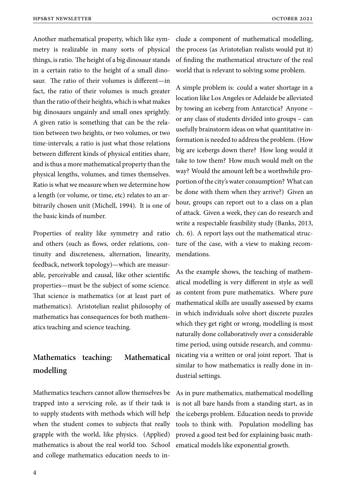Another mathematical property, which like symmetry is realizable in many sorts of physical things, is ratio. The height of a big dinosaur stands in a certain ratio to the height of a small dinosaur. The ratio of their volumes is different—in fact, the ratio of their volumes is much greater than the ratio of their heights, which is what makes big dinosaurs ungainly and small ones sprightly. A given ratio is something that can be the relation between two heights, or two volumes, or two time-intervals; a ratio is just what those relations between different kinds of physical entities share, and is thus a more mathematical property than the physical lengths, volumes, and times themselves. Ratio is what we measure when we determine how a length (or volume, or time, etc) relates to an arbitrarily chosen unit (Michell, 1994). It is one of the basic kinds of number.

Properties of reality like symmetry and ratio and others (such as flows, order relations, continuity and discreteness, alternation, linearity, feedback, network topology)—which are measurable, perceivable and causal, like other scientific properties—must be the subject of some science. That science is mathematics (or at least part of mathematics). Aristotelian realist philosophy of mathematics has consequences for both mathematics teaching and science teaching.

### **Mathematics teaching: Mathematical modelling**

Mathematics teachers cannot allow themselves be trapped into a servicing role, as if their task is to supply students with methods which will help when the student comes to subjects that really grapple with the world, like physics. (Applied) mathematics is about the real world too. School and college mathematics education needs to include a component of mathematical modelling, the process (as Aristotelian realists would put it) of finding the mathematical structure of the real world that is relevant to solving some problem.

A simple problem is: could a water shortage in a location like Los Angeles or Adelaide be alleviated by towing an iceberg from Antarctica? Anyone – or any class of students divided into groups – can usefully brainstorm ideas on what quantitative information is needed to address the problem. (How big are icebergs down there? How long would it take to tow them? How much would melt on the way? Would the amount left be a worthwhile proportion of the city's water consumption? What can be done with them when they arrive?) Given an hour, groups can report out to a class on a plan of attack. Given a week, they can do research and write a respectable feasibility study (Banks, 2013, ch. 6). A report lays out the mathematical structure of the case, with a view to making recommendations.

As the example shows, the teaching of mathematical modelling is very different in style as well as content from pure mathematics. Where pure mathematical skills are usually assessed by exams in which individuals solve short discrete puzzles which they get right or wrong, modelling is most naturally done collaboratively over a considerable time period, using outside research, and communicating via a written or oral joint report. That is similar to how mathematics is really done in industrial settings.

As in pure mathematics, mathematical modelling is not all bare hands from a standing start, as in the icebergs problem. Education needs to provide tools to think with. Population modelling has proved a good test bed for explaining basic mathematical models like exponential growth.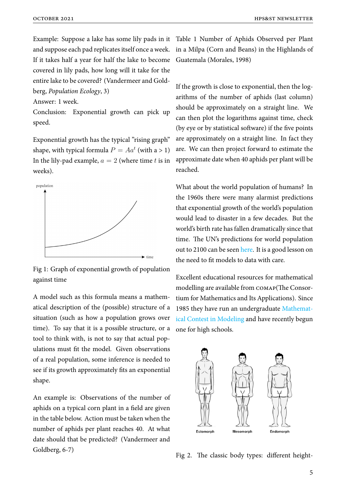Example: Suppose a lake has some lily pads in it Table 1 Number of Aphids Observed per Plant and suppose each pad replicates itself once a week. in a Milpa (Corn and Beans) in the Highlands of If it takes half a year for half the lake to become Guatemala (Morales, 1998) covered in lily pads, how long will it take for the entire lake to be covered? (Vandermeer and Goldberg, *Population Ecology*, 3)

Answer: 1 week.

Conclusion: Exponential growth can pick up speed.

Exponential growth has the typical "rising graph" shape, with typical formula  $P = A a^t$  (with a > 1) In the lily-pad example,  $a = 2$  (where time *t* is in weeks).



Fig 1: Graph of exponential growth of population against time

A model such as this formula means a mathematical description of the (possible) structure of a situation (such as how a population grows over time). To say that it is a possible structure, or a tool to think with, is not to say that actual populations must fit the model. Given observations of a real population, some inference is needed to see if its growth approximately fits an exponential shape.

An example is: Observations of the number of aphids on a typical corn plant in a field are given in the table below. Action must be taken when the number of aphids per plant reaches 40. At what date should that be predicted? (Vandermeer and Goldberg, 6-7)

If the growth is close to exponential, then the logarithms of the number of aphids (last column) should be approximately on a straight line. We can then plot the logarithms against time, check (by eye or by statistical software) if the five points are approximately on a straight line. In fact they are. We can then project forward to estimate the approximate date when 40 aphids per plant will be reached.

What about the world population of humans? In the 1960s there were many alarmist predictions that exponential growth of the world's population would lead to disaster in a few decades. But the world's birth rate has fallen dramatically since that time. The UN's predictions for world population out to 2100 can be seen here. It is a good lesson on the need to fit models to data with care.

Excellent educationalr[esour](https://population.un.org/wpp/Graphs/Probabilistic/POP/TOT/900)ces for mathematical modelling are available from comap(The Consortium for Mathematics and Its Applications). Since 1985 they have run an undergraduate Mathematical Contest in Modeling and have recently begun one for high schools.



Fig 2. The classic body types: different height-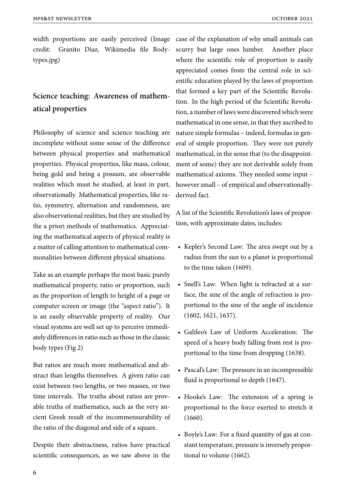width proportions are easily perceived (Image case of the explanation of why small animals can credit: Granito Diaz, Wikimedia file Bodytypes.jpg)

# **Science teaching: Awareness of mathematical properties**

Philosophy of science and science teaching are incomplete without some sense of the difference between physical properties and mathematical properties. Physical properties, like mass, colour, being gold and being a possum, are observable realities which must be studied, at least in part, observationally. Mathematical properties, like ratio, symmetry, alternation and randomness, are also observational realities, but they are studied by the a priori methods of mathematics. Appreciating the mathematical aspects of physical reality is a matter of calling attention to mathematical commonalities between different physical situations.

Take as an example perhaps the most basic purely mathematical property, ratio or proportion, such as the proportion of length to height of a page or computer screen or image (the "aspect ratio"). It is an easily observable property of reality. Our visual systems are well set up to perceive immediately differences in ratio such as those in the classic body types (Fig 2)

But ratios are much more mathematical and abstract than lengths themselves. A given ratio can exist between two lengths, or two masses, or two time intervals. The truths about ratios are provable truths of mathematics, such as the very ancient Greek result of the incommensurability of the ratio of the diagonal and side of a square.

Despite their abstractness, ratios have practical scientific consequences, as we saw above in the scurry but large ones lumber. Another place where the scientific role of proportion is easily appreciated comes from the central role in scientific education played by the laws of proportion that formed a key part of the Scientific Revolution. In the high period of the Scientific Revolution, a number of laws were discovered which were mathematical in one sense, in that they ascribed to nature simple formulas – indeed, formulas in general of simple proportion. They were not purely mathematical, in the sense that (to the disappointment of some) they are not derivable solely from mathematical axioms. They needed some input – however small – of empirical and observationallyderived fact.

A list of the Scientific Revolution's laws of proportion, with approximate dates, includes:

- Kepler's Second Law: The area swept out by a radius from the sun to a planet is proportional to the time taken (1609).
- Snell's Law: When light is refracted at a surface, the sine of the angle of refraction is proportional to the sine of the angle of incidence (1602, 1621, 1637).
- Galileo's Law of Uniform Acceleration: The speed of a heavy body falling from rest is proportional to the time from dropping (1638).
- Pascal's Law: The pressure in an incompressible fluid is proportional to depth (1647).
- Hooke's Law: The extension of a spring is proportional to the force exerted to stretch it (1660).
- Boyle's Law: For a fixed quantity of gas at constant temperature, pressure is inversely proportional to volume (1662).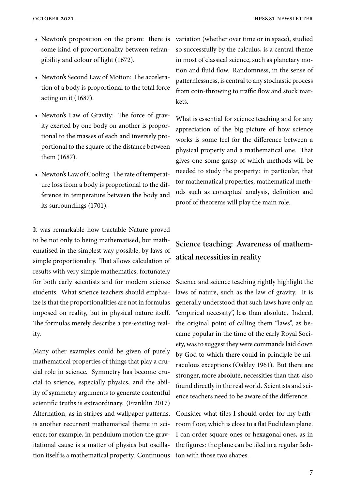- Newton's proposition on the prism: there is some kind of proportionality between refrangibility and colour of light (1672).
- Newton's Second Law of Motion: The acceleration of a body is proportional to the total force acting on it (1687).
- Newton's Law of Gravity: The force of gravity exerted by one body on another is proportional to the masses of each and inversely proportional to the square of the distance between them (1687).
- Newton's Law of Cooling: The rate of temperature loss from a body is proportional to the difference in temperature between the body and its surroundings (1701).

It was remarkable how tractable Nature proved to be not only to being mathematised, but mathematised in the simplest way possible, by laws of simple proportionality. That allows calculation of results with very simple mathematics, fortunately for both early scientists and for modern science students. What science teachers should emphasize is that the proportionalities are not in formulas imposed on reality, but in physical nature itself. The formulas merely describe a pre-existing reality.

Many other examples could be given of purely mathematical properties of things that play a crucial role in science. Symmetry has become crucial to science, especially physics, and the ability of symmetry arguments to generate contentful scientific truths is extraordinary. (Franklin 2017) Alternation, as in stripes and wallpaper patterns, is another recurrent mathematical theme in science; for example, in pendulum motion the gravitational cause is a matter of physics but oscillation itself is a mathematical property. Continuous variation (whether over time or in space), studied so successfully by the calculus, is a central theme in most of classical science, such as planetary motion and fluid flow. Randomness, in the sense of patternlessness, is central to any stochastic process from coin-throwing to traffic flow and stock markets.

What is essential for science teaching and for any appreciation of the big picture of how science works is some feel for the difference between a physical property and a mathematical one. That gives one some grasp of which methods will be needed to study the property: in particular, that for mathematical properties, mathematical methods such as conceptual analysis, definition and proof of theorems will play the main role.

# **Science teaching: Awareness of mathematical necessities in reality**

Science and science teaching rightly highlight the laws of nature, such as the law of gravity. It is generally understood that such laws have only an "empirical necessity", less than absolute. Indeed, the original point of calling them "laws", as became popular in the time of the early Royal Society, was to suggest they were commands laid down by God to which there could in principle be miraculous exceptions (Oakley 1961). But there are stronger, more absolute, necessities than that, also found directly in the real world. Scientists and science teachers need to be aware of the difference.

Consider what tiles I should order for my bathroom floor, which is close to a flat Euclidean plane. I can order square ones or hexagonal ones, as in the figures: the plane can be tiled in a regular fashion with those two shapes.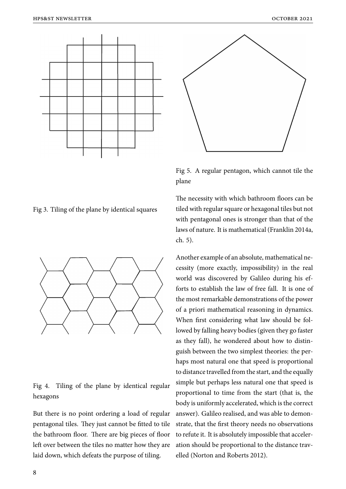



Fig 5. A regular pentagon, which cannot tile the plane

Fig 3. Tiling of the plane by identical squares



#### Fig 4. Tiling of the plane by identical regular hexagons

But there is no point ordering a load of regular pentagonal tiles. They just cannot be fitted to tile the bathroom floor. There are big pieces of floor left over between the tiles no matter how they are laid down, which defeats the purpose of tiling.

The necessity with which bathroom floors can be tiled with regular square or hexagonal tiles but not with pentagonal ones is stronger than that of the laws of nature. It is mathematical (Franklin 2014a, ch. 5).

Another example of an absolute, mathematical necessity (more exactly, impossibility) in the real world was discovered by Galileo during his efforts to establish the law of free fall. It is one of the most remarkable demonstrations of the power of a priori mathematical reasoning in dynamics. When first considering what law should be followed by falling heavy bodies (given they go faster as they fall), he wondered about how to distinguish between the two simplest theories: the perhaps most natural one that speed is proportional to distance travelled from the start, and the equally simple but perhaps less natural one that speed is proportional to time from the start (that is, the body is uniformly accelerated, which is the correct answer). Galileo realised, and was able to demonstrate, that the first theory needs no observations to refute it. It is absolutely impossible that acceleration should be proportional to the distance travelled (Norton and Roberts 2012).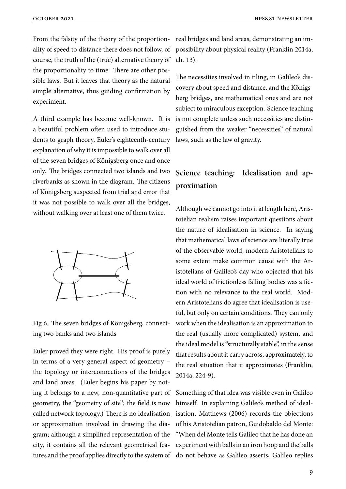From the falsity of the theory of the proportionality of speed to distance there does not follow, of course, the truth of the (true) alternative theory of the proportionality to time. There are other possible laws. But it leaves that theory as the natural simple alternative, thus guiding confirmation by experiment.

A third example has become well-known. It is a beautiful problem often used to introduce students to graph theory, Euler's eighteenth-century explanation of why it is impossible to walk over all of the seven bridges of Königsberg once and once only. The bridges connected two islands and two riverbanks as shown in the diagram. The citizens of Königsberg suspected from trial and error that it was not possible to walk over all the bridges, without walking over at least one of them twice.



Fig 6. The seven bridges of Königsberg, connecting two banks and two islands

Euler proved they were right. His proof is purely in terms of a very general aspect of geometry – the topology or interconnections of the bridges and land areas. (Euler begins his paper by noting it belongs to a new, non-quantitative part of geometry, the "geometry of site"; the field is now called network topology.) There is no idealisation or approximation involved in drawing the diagram; although a simplified representation of the city, it contains all the relevant geometrical features and the proof applies directly to the system of

real bridges and land areas, demonstrating an impossibility about physical reality (Franklin 2014a, ch. 13).

The necessities involved in tiling, in Galileo's discovery about speed and distance, and the Königsberg bridges, are mathematical ones and are not subject to miraculous exception. Science teaching is not complete unless such necessities are distinguished from the weaker "necessities" of natural laws, such as the law of gravity.

### **Science teaching: Idealisation and approximation**

Although we cannot go into it at length here, Aristotelian realism raises important questions about the nature of idealisation in science. In saying that mathematical laws of science are literally true of the observable world, modern Aristotelians to some extent make common cause with the Aristotelians of Galileo's day who objected that his ideal world of frictionless falling bodies was a fiction with no relevance to the real world. Modern Aristotelians do agree that idealisation is useful, but only on certain conditions. They can only work when the idealisation is an approximation to the real (usually more complicated) system, and the ideal model is "structurally stable", in the sense that results about it carry across, approximately, to the real situation that it approximates (Franklin, 2014a, 224-9).

Something of that idea was visible even in Galileo himself. In explaining Galileo's method of idealisation, Matthews (2006) records the objections of his Aristotelian patron, Guidobaldo del Monte: "When del Monte tells Galileo that he has done an experiment with balls in an iron hoop and the balls do not behave as Galileo asserts, Galileo replies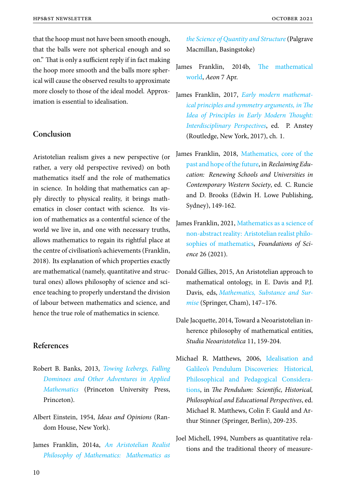that the hoop must not have been smooth enough, that the balls were not spherical enough and so on." That is only a sufficient reply if in fact making the hoop more smooth and the balls more spherical will cause the observed results to approximate more closely to those of the ideal model. Approximation is essential to idealisation.

#### **Conclusion**

Aristotelian realism gives a new perspective (or rather, a very old perspective revived) on both mathematics itself and the role of mathematics in science. In holding that mathematics can apply directly to physical reality, it brings mathematics in closer contact with science. Its vision of mathematics as a contentful science of the world we live in, and one with necessary truths, allows mathematics to regain its rightful place at the centre of civilisation's achievements (Franklin, 2018). Its explanation of which properties exactly are mathematical (namely, quantitative and structural ones) allows philosophy of science and science teaching to properly understand the division of labour between mathematics and science, and hence the true role of mathematics in science.

#### **References**

- Robert B. Banks, 2013, *Towing Icebergs, Falling Dominoes and Other Adventures in Applied Mathematics* (Princeton University Press, Princeton).
- Alb[ert Einstein,](https://press.princeton.edu/books/paperback/9780691158181/towing-icebergs-falling-dominoes-and-other-adventures-in-applied) 1954, *Ideas and Opinions* (Random House, New York).
- James Franklin, 2014a, *An Aristotelian Realist Philosophy of Mathematics: Mathematics as*

*the Science of Quantity and Structure* (Palgrave Macmillan, Basingstoke)

- Ja[mes Franklin, 2014b,](https://www.google.com.au/books/edition/An_Aristotelian_Realist_Philosophy_of_Ma/0YKEAwAAQBAJ) The mathematical world, *Aeon* 7 Apr.
- James Franklin, 2017, *Early [modern mathemat](https://www.aeon.co/magazine/world-views/what-is-left-for-mathematics-to-be-about/)[ical pr](https://www.aeon.co/magazine/world-views/what-is-left-for-mathematics-to-be-about/)inciples and symmetry arguments, in The Idea of Principles in Early Modern Thought: Interdisciplinary Perspectives*[, ed. P. Anstey](https://www.maths.unsw.edu.au/~jim/mathprinciples17c.pdf) [\(Routledge, New York, 2017\), ch. 1.](https://www.maths.unsw.edu.au/~jim/mathprinciples17c.pdf)
- Ja[mes Franklin, 2018,](https://www.maths.unsw.edu.au/~jim/mathprinciples17c.pdf) Mathematics, core of the past and hope of the future, in *Reclaiming Education: Renewing Schools and Universities in Contemporary Western Society*[, ed. C. Runcie](https://www.maths.unsw.edu.au/~jim/runciebkscan.pdf) [and D. Brooks \(Edwin H](https://www.maths.unsw.edu.au/~jim/runciebkscan.pdf). Lowe Publishing, Sydney), 149-162.
- James Franklin, 2021, Mathematics as a science of non-abstract reality: Aristotelian realist philosophies of mathematics, *Foundations of Science* 26 (2021).
- Do[nald Gillies, 2015, An Ari](https://www.rdcu.be/chatd)stotelian approach to mathematical ontology, in E. Davis and P.J. Davis, eds, *Mathematics, Substance and Surmise* (Springer, Cham), 147–176.
- Dale Jacquette, [2014, Toward a Neoaristotelian in](https://www.springer.com/gp/book/9783319214726)[heren](https://www.springer.com/gp/book/9783319214726)ce philosophy of mathematical entities, *Studia Neoaristotelica* 11, 159-204.
- Michael R. Matthews, 2006, Idealisation and Galileo's Pendulum Discoveries: Historical, Philosophical and Pedagogical Considerations, in *The Pendulum: Sci[entific, Historical,](https://link-springer-com.wwwproxy1.library.unsw.edu.au/chapter/10.1007/1-4020-3526-8_15) [Philosophical and Educational Perspectives](https://link-springer-com.wwwproxy1.library.unsw.edu.au/chapter/10.1007/1-4020-3526-8_15)*, ed. [Michael R. Matthews, Colin F. Gauld and Ar](https://link-springer-com.wwwproxy1.library.unsw.edu.au/chapter/10.1007/1-4020-3526-8_15)[thur S](https://link-springer-com.wwwproxy1.library.unsw.edu.au/chapter/10.1007/1-4020-3526-8_15)tinner (Springer, Berlin), 209-235.
- Joel Michell, 1994, Numbers as quantitative relations and the traditional theory of measure-